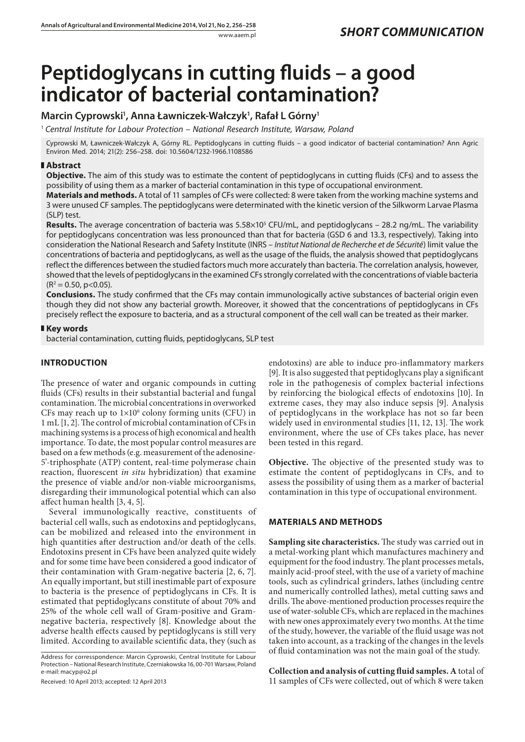# **Peptidoglycans in cutting fluids – a good indicator of bacterial contamination?**

# **Marcin Cyprowski1 , Anna Ławniczek-Wałczyk1 , Rafał L Górny1**

<sup>1</sup> *Central Institute for Labour Protection – National Research Institute, Warsaw, Poland*

Cyprowski M, Ławniczek-Wałczyk A, Górny RL. Peptidoglycans in cutting fluids – a good indicator of bacterial contamination? Ann Agric Environ Med. 2014; 21(2): 256–258. doi: 10.5604/1232-1966.1108586

## **Abstract**

**Objective.** The aim of this study was to estimate the content of peptidoglycans in cutting fluids (CFs) and to assess the possibility of using them as a marker of bacterial contamination in this type of occupational environment.

**Materials and methods.** A total of 11 samples of CFs were collected: 8 were taken from the working machine systems and 3 were unused CF samples. The peptidoglycans were determinated with the kinetic version of the Silkworm Larvae Plasma (SLP) test.

**Results.** The average concentration of bacteria was 5.58×10<sup>5</sup> CFU/mL, and peptidoglycans – 28.2 ng/mL. The variability for peptidoglycans concentration was less pronounced than that for bacteria (GSD 6 and 13.3, respectively). Taking into consideration the National Research and Safety Institute (INRS – *Institut National de Recherche et de Sécurité*) limit value the concentrations of bacteria and peptidoglycans, as well as the usage of the fluids, the analysis showed that peptidoglycans reflect the differences between the studied factors much more accurately than bacteria. The correlation analysis, however, showed that the levels of peptidoglycans in the examined CFs strongly correlated with the concentrations of viable bacteria  $(R<sup>2</sup> = 0.50, p<0.05).$ 

**Conclusions.** The study confirmed that the CFs may contain immunologically active substances of bacterial origin even though they did not show any bacterial growth. Moreover, it showed that the concentrations of peptidoglycans in CFs precisely reflect the exposure to bacteria, and as a structural component of the cell wall can be treated as their marker.

## **Key words**

bacterial contamination, cutting fluids, peptidoglycans, SLP test

# **Introduction**

The presence of water and organic compounds in cutting fluids (CFs) results in their substantial bacterial and fungal contamination. The microbial concentrations in overworked CFs may reach up to  $1\times10^6$  colony forming units (CFU) in 1 mL [1, 2]. The control of microbial contamination of CFs in machining systems is a process of high economical and health importance. To date, the most popular control measures are based on a few methods (e.g. measurement of the adenosine-5'-triphosphate (ATP) content, real-time polymerase chain reaction, fluorescent *in situ* hybridization) that examine the presence of viable and/or non-viable microorganisms, disregarding their immunological potential which can also affect human health [3, 4, 5].

Several immunologically reactive, constituents of bacterial cell walls, such as endotoxins and peptidoglycans, can be mobilized and released into the environment in high quantities after destruction and/or death of the cells. Endotoxins present in CFs have been analyzed quite widely and for some time have been considered a good indicator of their contamination with Gram-negative bacteria [2, 6, 7]. An equally important, but still inestimable part of exposure to bacteria is the presence of peptidoglycans in CFs. It is estimated that peptidoglycans constitute of about 70% and 25% of the whole cell wall of Gram-positive and Gramnegative bacteria, respectively [8]. Knowledge about the adverse health effects caused by peptidoglycans is still very limited. According to available scientific data, they (such as

Address for corresspondence: Marcin Cyprowski, Central Institute for Labour Protection – National Research Institute, Czerniakowska 16, 00-701 Warsaw, Poland e-mail: macyp@o2.pl

Received: 10 April 2013; accepted: 12 April 2013

endotoxins) are able to induce pro-inflammatory markers [9]. It is also suggested that peptidoglycans play a significant role in the pathogenesis of complex bacterial infections by reinforcing the biological effects of endotoxins [10]. In extreme cases, they may also induce sepsis [9]. Analysis of peptidoglycans in the workplace has not so far been widely used in environmental studies [11, 12, 13]. The work environment, where the use of CFs takes place, has never been tested in this regard.

**Objective.** The objective of the presented study was to estimate the content of peptidoglycans in CFs, and to assess the possibility of using them as a marker of bacterial contamination in this type of occupational environment.

## **Materials and methods**

**Sampling site characteristics.** The study was carried out in a metal-working plant which manufactures machinery and equipment for the food industry. The plant processes metals, mainly acid-proof steel, with the use of a variety of machine tools, such as cylindrical grinders, lathes (including centre and numerically controlled lathes), metal cutting saws and drills. The above-mentioned production processes require the use of water-soluble CFs, which are replaced in the machines with new ones approximately every two months. At the time of the study, however, the variable of the fluid usage was not taken into account, as a tracking of the changes in the levels of fluid contamination was not the main goal of the study.

**Collection and analysis of cutting fluid samples. A** total of 11 samples of CFs were collected, out of which 8 were taken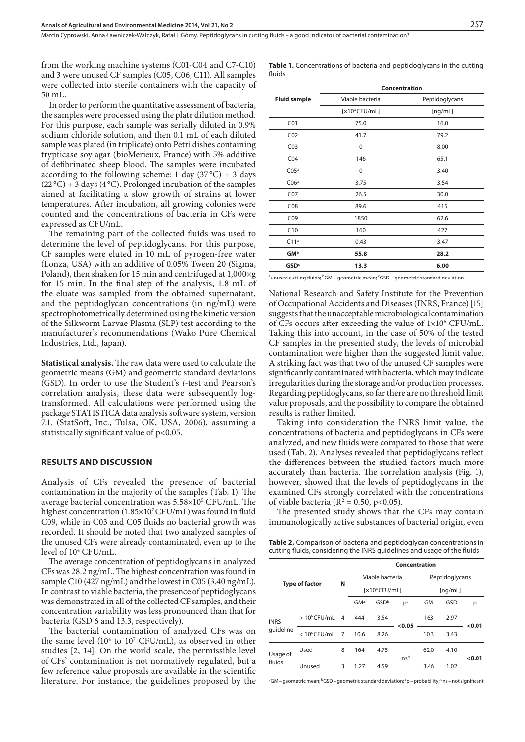Marcin Cyprowski, Anna Ławniczek-Wałczyk, Rafał L Górny . Peptidoglycans in cutting fluids – a good indicator of bacterial contamination?

from the working machine systems (C01-C04 and C7-C10) and 3 were unused CF samples (C05, C06, C11). All samples were collected into sterile containers with the capacity of 50 mL.

In order to perform the quantitative assessment of bacteria, the samples were processed using the plate dilution method. For this purpose, each sample was serially diluted in 0.9% sodium chloride solution, and then 0.1 mL of each diluted sample was plated (in triplicate) onto Petri dishes containing trypticase soy agar (bioMerieux, France) with 5% additive of defibrinated sheep blood. The samples were incubated according to the following scheme: 1 day  $(37^{\circ}C) + 3$  days  $(22^{\circ}C) + 3$  days (4 °C). Prolonged incubation of the samples aimed at facilitating a slow growth of strains at lower temperatures. After incubation, all growing colonies were counted and the concentrations of bacteria in CFs were expressed as CFU/mL.

The remaining part of the collected fluids was used to determine the level of peptidoglycans. For this purpose, CF samples were eluted in 10 mL of pyrogen-free water (Lonza, USA) with an additive of 0.05% Tween 20 (Sigma, Poland), then shaken for 15 min and centrifuged at 1,000×g for 15 min. In the final step of the analysis, 1.8 mL of the eluate was sampled from the obtained supernatant, and the peptidoglycan concentrations (in ng/mL) were spectrophotometrically determined using the kinetic version of the Silkworm Larvae Plasma (SLP) test according to the manufacturer's recommendations (Wako Pure Chemical Industries, Ltd., Japan).

**Statistical analysis.** The raw data were used to calculate the geometric means (GM) and geometric standard deviations (GSD). In order to use the Student's *t*-test and Pearson's correlation analysis, these data were subsequently logtransformed. All calculations were performed using the package STATISTICA data analysis software system, version 7.1. (StatSoft, Inc., Tulsa, OK, USA, 2006), assuming a statistically significant value of p<0.05.

#### **Results and discussion**

Analysis of CFs revealed the presence of bacterial contamination in the majority of the samples (Tab. 1). The average bacterial concentration was  $5.58\times10^{5}$  CFU/mL. The highest concentration (1.85×10<sup>7</sup> CFU/mL) was found in fluid C09, while in C03 and C05 fluids no bacterial growth was recorded. It should be noted that two analyzed samples of the unused CFs were already contaminated, even up to the level of 104 CFU/mL.

The average concentration of peptidoglycans in analyzed CFs was 28.2 ng/mL. The highest concentration was found in sample C10 (427 ng/mL) and the lowest in C05 (3.40 ng/mL). In contrast to viable bacteria, the presence of peptidoglycans was demonstrated in all of the collected CF samples, and their concentration variability was less pronounced than that for bacteria (GSD 6 and 13.3, respectively).

The bacterial contamination of analyzed CFs was on the same level (104 to 107 CFU/mL), as observed in other studies [2, 14]. On the world scale, the permissible level of CFs' contamination is not normatively regulated, but a few reference value proposals are available in the scientific literature. For instance, the guidelines proposed by the

|        | <b>Table 1.</b> Concentrations of bacteria and peptidoglycans in the cutting |  |  |  |
|--------|------------------------------------------------------------------------------|--|--|--|
| fluids |                                                                              |  |  |  |

|                        | Concentration             |                |  |  |  |
|------------------------|---------------------------|----------------|--|--|--|
| <b>Fluid sample</b>    | Viable bacteria           | Peptidoglycans |  |  |  |
|                        | [x10 <sup>4</sup> CFU/mL] | [ng/mL]        |  |  |  |
| CO <sub>1</sub>        | 75.0                      | 16.0           |  |  |  |
| CO <sub>2</sub>        | 41.7                      | 79.2           |  |  |  |
| CO <sub>3</sub>        | 0                         | 8.00           |  |  |  |
| CO <sub>4</sub>        | 146                       | 65.1           |  |  |  |
| CO5a                   | 0                         | 3.40           |  |  |  |
| C06 <sup>a</sup>       | 3.75                      | 3.54           |  |  |  |
| CO <sub>7</sub>        | 26.5                      | 30.0           |  |  |  |
| CO8                    | 89.6                      | 415            |  |  |  |
| CO9                    | 1850                      | 62.6           |  |  |  |
| C10                    | 160                       | 427            |  |  |  |
| C11 <sup>a</sup>       | 0.43                      | 3.47           |  |  |  |
| <b>GM</b> <sup>b</sup> | 55.8                      | 28.2           |  |  |  |
| <b>GSD<sup>c</sup></b> | 13.3                      | 6.00           |  |  |  |

<sup>a</sup>unused cutting fluids; <sup>b</sup>GM – geometric mean; <sup>c</sup>GSD – geometric standard deviation

National Research and Safety Institute for the Prevention of Occupational Accidents and Diseases (INRS, France) [15] suggests that the unacceptable microbiological contamination of CFs occurs after exceeding the value of  $1\times10^6$  CFU/mL. Taking this into account, in the case of 50% of the tested CF samples in the presented study, the levels of microbial contamination were higher than the suggested limit value. A striking fact was that two of the unused CF samples were significantly contaminated with bacteria, which may indicate irregularities during the storage and/or production processes. Regarding peptidoglycans, so far there are no threshold limit value proposals, and the possibility to compare the obtained results is rather limited.

Taking into consideration the INRS limit value, the concentrations of bacteria and peptidoglycans in CFs were analyzed, and new fluids were compared to those that were used (Tab. 2). Analyses revealed that peptidoglycans reflect the differences between the studied factors much more accurately than bacteria. The correlation analysis (Fig. 1), however, showed that the levels of peptidoglycans in the examined CFs strongly correlated with the concentrations of viable bacteria ( $R^2 = 0.50$ , p<0.05).

The presented study shows that the CFs may contain immunologically active substances of bacterial origin, even

**Table 2.** Comparison of bacteria and peptidoglycan concentrations in cutting fluids, considering the INRS guidelines and usage of the fluids

|                          |                 |                | Concentration    |                  |                 |                |      |        |
|--------------------------|-----------------|----------------|------------------|------------------|-----------------|----------------|------|--------|
| <b>Type of factor</b>    |                 | N              | Viable bacteria  |                  |                 | Peptidoglycans |      |        |
|                          |                 |                | $[x10^4$ CFU/mLl |                  | [nq/mL]         |                |      |        |
|                          |                 |                | GM <sup>a</sup>  | GSD <sup>b</sup> | p <sub>c</sub>  | GM             | GSD  | р      |
| <b>INRS</b><br>quideline | $>10^6$ CFU/mL  | $\overline{4}$ | 444              | 3.54             | < 0.05          | 163            | 2.97 | < 0.01 |
|                          | $< 10^6$ CFU/mL | 7              | 10.6             | 8.26             |                 | 10.3           | 3.43 |        |
| Usage of<br>fluids       | Used            | 8              | 164              | 4.75             | ns <sup>d</sup> | 62.0           | 4.10 | < 0.01 |
|                          | Unused          | 3              | 1.27             | 4.59             |                 | 3.46           | 1.02 |        |

<sup>a</sup>GM – geometric mean; <sup>b</sup>GSD – geometric standard deviation; <sup>c</sup>p – probability; <sup>d</sup>ns – not significant